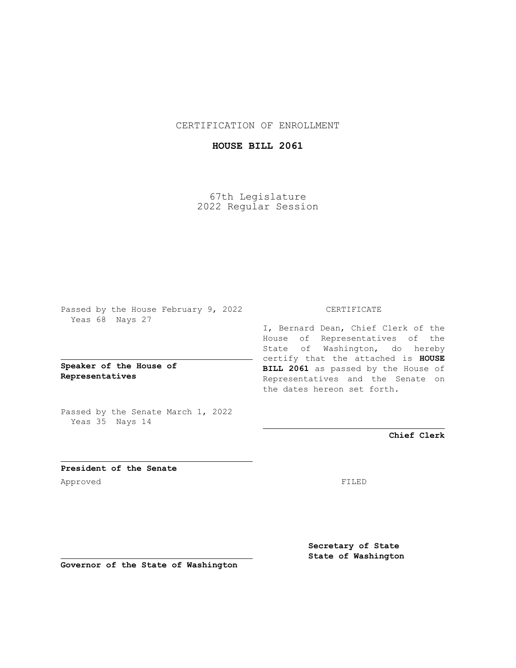CERTIFICATION OF ENROLLMENT

## **HOUSE BILL 2061**

67th Legislature 2022 Regular Session

Passed by the House February 9, 2022 Yeas 68 Nays 27

**Speaker of the House of Representatives**

Passed by the Senate March 1, 2022 Yeas 35 Nays 14

## CERTIFICATE

I, Bernard Dean, Chief Clerk of the House of Representatives of the State of Washington, do hereby certify that the attached is **HOUSE BILL 2061** as passed by the House of Representatives and the Senate on the dates hereon set forth.

**Chief Clerk**

**President of the Senate** Approved FILED

**Secretary of State State of Washington**

**Governor of the State of Washington**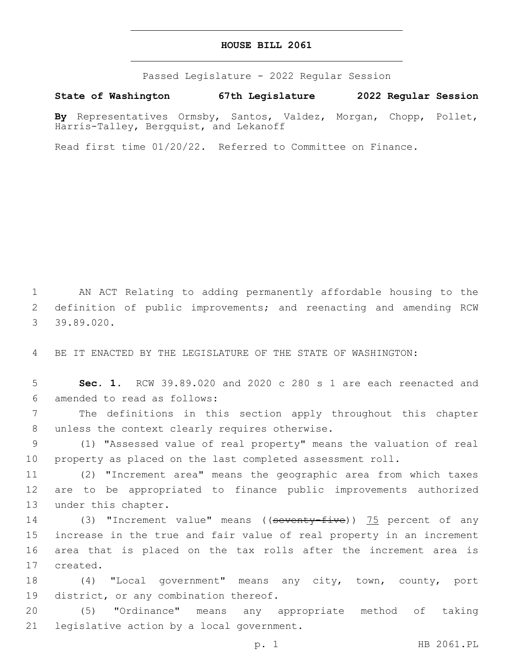## **HOUSE BILL 2061**

Passed Legislature - 2022 Regular Session

**State of Washington 67th Legislature 2022 Regular Session**

**By** Representatives Ormsby, Santos, Valdez, Morgan, Chopp, Pollet, Harris-Talley, Bergquist, and Lekanoff

Read first time 01/20/22. Referred to Committee on Finance.

1 AN ACT Relating to adding permanently affordable housing to the 2 definition of public improvements; and reenacting and amending RCW 39.89.020.3

4 BE IT ENACTED BY THE LEGISLATURE OF THE STATE OF WASHINGTON:

5 **Sec. 1.** RCW 39.89.020 and 2020 c 280 s 1 are each reenacted and 6 amended to read as follows:

7 The definitions in this section apply throughout this chapter 8 unless the context clearly requires otherwise.

9 (1) "Assessed value of real property" means the valuation of real 10 property as placed on the last completed assessment roll.

11 (2) "Increment area" means the geographic area from which taxes 12 are to be appropriated to finance public improvements authorized 13 under this chapter.

14 (3) "Increment value" means ((seventy-five)) 75 percent of any 15 increase in the true and fair value of real property in an increment 16 area that is placed on the tax rolls after the increment area is 17 created.

18 (4) "Local government" means any city, town, county, port 19 district, or any combination thereof.

20 (5) "Ordinance" means any appropriate method of taking 21 legislative action by a local government.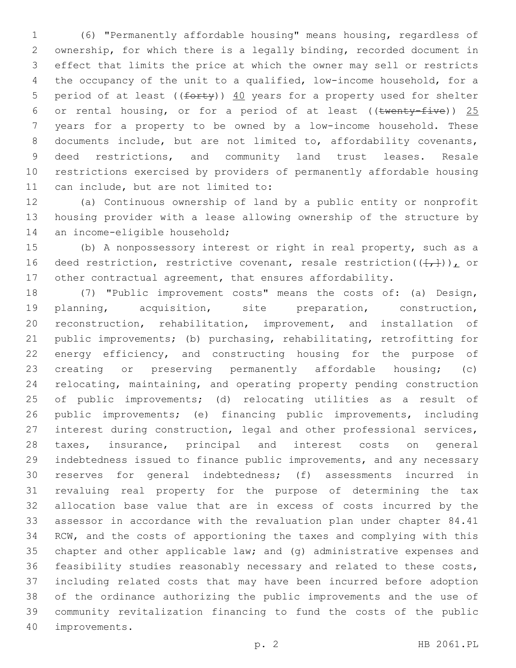(6) "Permanently affordable housing" means housing, regardless of ownership, for which there is a legally binding, recorded document in effect that limits the price at which the owner may sell or restricts the occupancy of the unit to a qualified, low-income household, for a 5 period of at least ( $(forty)$ )  $40$  years for a property used for shelter 6 or rental housing, or for a period of at least (( $t$ wenty-five)) 25 years for a property to be owned by a low-income household. These documents include, but are not limited to, affordability covenants, deed restrictions, and community land trust leases. Resale restrictions exercised by providers of permanently affordable housing 11 can include, but are not limited to:

 (a) Continuous ownership of land by a public entity or nonprofit housing provider with a lease allowing ownership of the structure by 14 an income-eligible household;

 (b) A nonpossessory interest or right in real property, such as a 16 deed restriction, restrictive covenant, resale restriction( $(\frac{1}{t},\frac{1}{t})$ ), or other contractual agreement, that ensures affordability.

 (7) "Public improvement costs" means the costs of: (a) Design, planning, acquisition, site preparation, construction, reconstruction, rehabilitation, improvement, and installation of public improvements; (b) purchasing, rehabilitating, retrofitting for 22 energy efficiency, and constructing housing for the purpose of creating or preserving permanently affordable housing; (c) relocating, maintaining, and operating property pending construction of public improvements; (d) relocating utilities as a result of public improvements; (e) financing public improvements, including interest during construction, legal and other professional services, taxes, insurance, principal and interest costs on general indebtedness issued to finance public improvements, and any necessary reserves for general indebtedness; (f) assessments incurred in revaluing real property for the purpose of determining the tax allocation base value that are in excess of costs incurred by the assessor in accordance with the revaluation plan under chapter 84.41 RCW, and the costs of apportioning the taxes and complying with this chapter and other applicable law; and (g) administrative expenses and feasibility studies reasonably necessary and related to these costs, including related costs that may have been incurred before adoption of the ordinance authorizing the public improvements and the use of community revitalization financing to fund the costs of the public 40 improvements.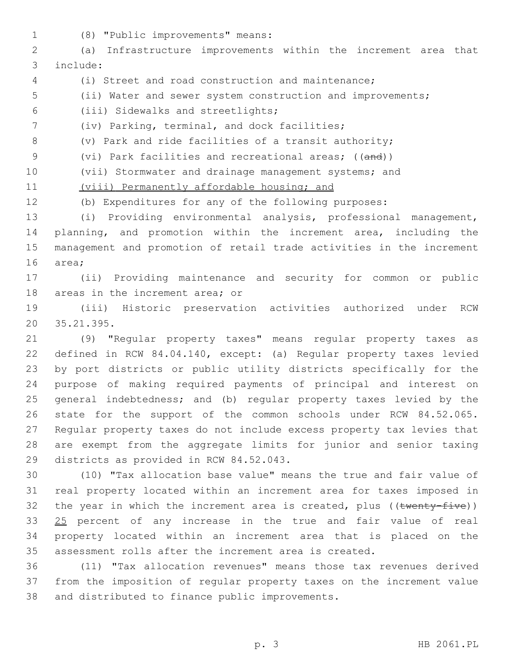(8) "Public improvements" means:1

 (a) Infrastructure improvements within the increment area that include:3

- (i) Street and road construction and maintenance;
- (ii) Water and sewer system construction and improvements;

(iii) Sidewalks and streetlights;6

7 (iv) Parking, terminal, and dock facilities;

(v) Park and ride facilities of a transit authority;

9 (vi) Park facilities and recreational areas; ((and))

(vii) Stormwater and drainage management systems; and

11 (viii) Permanently affordable housing; and

(b) Expenditures for any of the following purposes:

 (i) Providing environmental analysis, professional management, planning, and promotion within the increment area, including the management and promotion of retail trade activities in the increment 16 area;

 (ii) Providing maintenance and security for common or public 18 areas in the increment area; or

 (iii) Historic preservation activities authorized under RCW 35.21.395.20

 (9) "Regular property taxes" means regular property taxes as defined in RCW 84.04.140, except: (a) Regular property taxes levied by port districts or public utility districts specifically for the purpose of making required payments of principal and interest on general indebtedness; and (b) regular property taxes levied by the state for the support of the common schools under RCW 84.52.065. Regular property taxes do not include excess property tax levies that are exempt from the aggregate limits for junior and senior taxing 29 districts as provided in RCW 84.52.043.

 (10) "Tax allocation base value" means the true and fair value of real property located within an increment area for taxes imposed in 32 the year in which the increment area is created, plus ( $(\text{twenty-five})$ ) 33 25 percent of any increase in the true and fair value of real property located within an increment area that is placed on the assessment rolls after the increment area is created.

 (11) "Tax allocation revenues" means those tax revenues derived from the imposition of regular property taxes on the increment value 38 and distributed to finance public improvements.